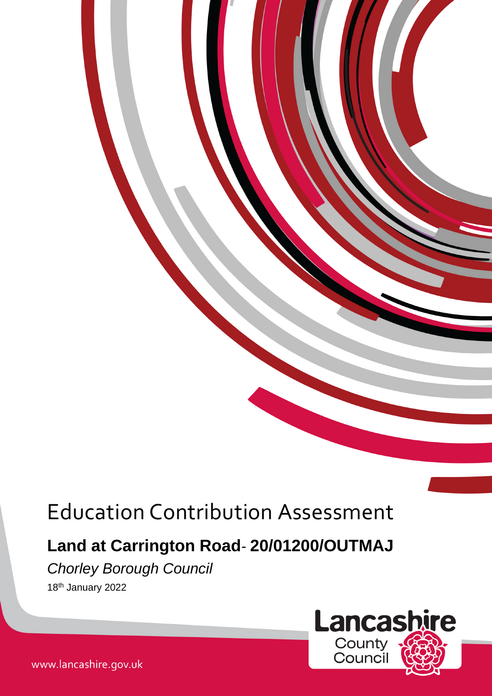# Education Contribution Assessment

## **Land at Carrington Road***-* **20/01200/OUTMAJ**

### *Chorley Borough Council*

18th January 2022



www.lancashire.gov.uk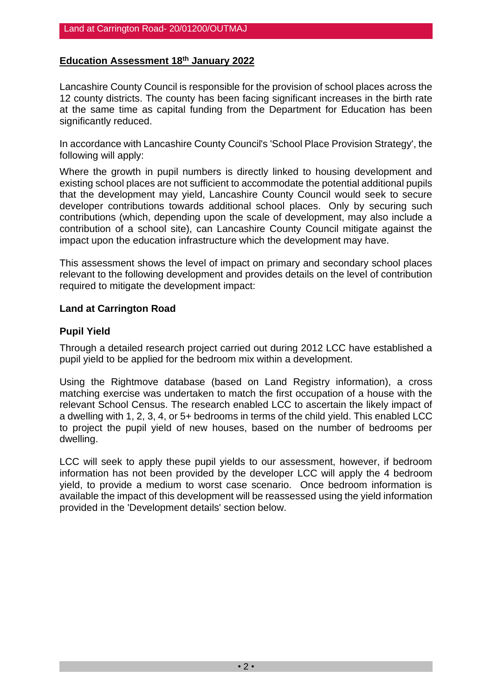#### **Education Assessment 18th January 2022**

Lancashire County Council is responsible for the provision of school places across the 12 county districts. The county has been facing significant increases in the birth rate at the same time as capital funding from the Department for Education has been significantly reduced.

In accordance with Lancashire County Council's 'School Place Provision Strategy', the following will apply:

Where the growth in pupil numbers is directly linked to housing development and existing school places are not sufficient to accommodate the potential additional pupils that the development may yield, Lancashire County Council would seek to secure developer contributions towards additional school places. Only by securing such contributions (which, depending upon the scale of development, may also include a contribution of a school site), can Lancashire County Council mitigate against the impact upon the education infrastructure which the development may have.

This assessment shows the level of impact on primary and secondary school places relevant to the following development and provides details on the level of contribution required to mitigate the development impact:

#### **Land at Carrington Road**

#### **Pupil Yield**

Through a detailed research project carried out during 2012 LCC have established a pupil yield to be applied for the bedroom mix within a development.

Using the Rightmove database (based on Land Registry information), a cross matching exercise was undertaken to match the first occupation of a house with the relevant School Census. The research enabled LCC to ascertain the likely impact of a dwelling with 1, 2, 3, 4, or 5+ bedrooms in terms of the child yield. This enabled LCC to project the pupil yield of new houses, based on the number of bedrooms per dwelling.

LCC will seek to apply these pupil yields to our assessment, however, if bedroom information has not been provided by the developer LCC will apply the 4 bedroom yield, to provide a medium to worst case scenario. Once bedroom information is available the impact of this development will be reassessed using the yield information provided in the 'Development details' section below.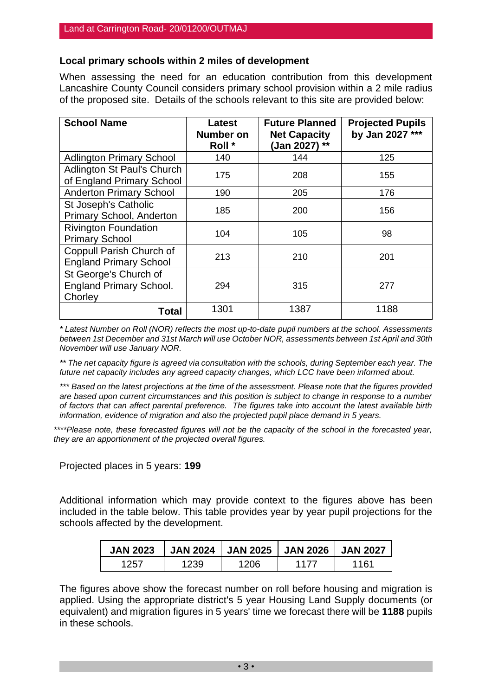#### **Local primary schools within 2 miles of development**

When assessing the need for an education contribution from this development Lancashire County Council considers primary school provision within a 2 mile radius of the proposed site. Details of the schools relevant to this site are provided below:

| <b>School Name</b>                                                 | Latest<br><b>Number on</b><br>Roll * | <b>Future Planned</b><br><b>Net Capacity</b><br>(Jan 2027) ** | <b>Projected Pupils</b><br>by Jan 2027 *** |
|--------------------------------------------------------------------|--------------------------------------|---------------------------------------------------------------|--------------------------------------------|
| <b>Adlington Primary School</b>                                    | 140                                  | 144                                                           | 125                                        |
| Adlington St Paul's Church<br>of England Primary School            | 175                                  | 208                                                           | 155                                        |
| <b>Anderton Primary School</b>                                     | 190                                  | 205                                                           | 176                                        |
| St Joseph's Catholic<br>Primary School, Anderton                   | 185                                  | 200                                                           | 156                                        |
| <b>Rivington Foundation</b><br><b>Primary School</b>               | 104                                  | 105                                                           | 98                                         |
| Coppull Parish Church of<br><b>England Primary School</b>          | 213                                  | 210                                                           | 201                                        |
| St George's Church of<br><b>England Primary School.</b><br>Chorley | 294                                  | 315                                                           | 277                                        |
| <b>Total</b>                                                       | 1301                                 | 1387                                                          | 1188                                       |

*\* Latest Number on Roll (NOR) reflects the most up-to-date pupil numbers at the school. Assessments between 1st December and 31st March will use October NOR, assessments between 1st April and 30th November will use January NOR.*

*\*\* The net capacity figure is agreed via consultation with the schools, during September each year. The future net capacity includes any agreed capacity changes, which LCC have been informed about.*

*\*\*\* Based on the latest projections at the time of the assessment. Please note that the figures provided are based upon current circumstances and this position is subject to change in response to a number of factors that can affect parental preference. The figures take into account the latest available birth information, evidence of migration and also the projected pupil place demand in 5 years.*

*\*\*\*\*Please note, these forecasted figures will not be the capacity of the school in the forecasted year, they are an apportionment of the projected overall figures.*

Projected places in 5 years: **199**

Additional information which may provide context to the figures above has been included in the table below. This table provides year by year pupil projections for the schools affected by the development.

| <b>JAN 2023</b> |      | JAN 2024   JAN 2025   JAN 2026   JAN 2027 |      |      |
|-----------------|------|-------------------------------------------|------|------|
| 1257            | 1239 | 1206                                      | 1177 | 1161 |

The figures above show the forecast number on roll before housing and migration is applied. Using the appropriate district's 5 year Housing Land Supply documents (or equivalent) and migration figures in 5 years' time we forecast there will be **1188** pupils in these schools.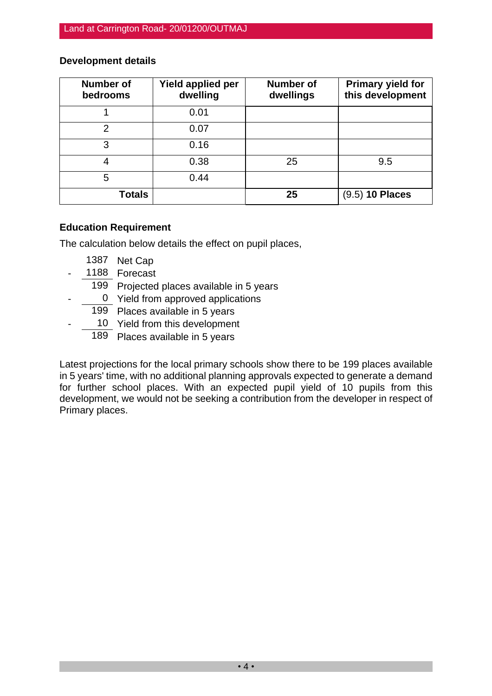#### **Development details**

| <b>Number of</b><br>bedrooms | Yield applied per<br>dwelling | <b>Number of</b><br>dwellings | <b>Primary yield for</b><br>this development |
|------------------------------|-------------------------------|-------------------------------|----------------------------------------------|
|                              | 0.01                          |                               |                                              |
| 2                            | 0.07                          |                               |                                              |
| 3                            | 0.16                          |                               |                                              |
|                              | 0.38                          | 25                            | 9.5                                          |
| 5                            | 0.44                          |                               |                                              |
| Totals                       |                               | 25                            | $(9.5)$ 10 Places                            |

#### **Education Requirement**

The calculation below details the effect on pupil places,

- 1387 Net Cap
- 1188 Forecast
- 199 Projected places available in 5 years
- 0 Yield from approved applications
- 199 Places available in 5 years
- 10 Yield from this development
	- 189 Places available in 5 years

Latest projections for the local primary schools show there to be 199 places available in 5 years' time, with no additional planning approvals expected to generate a demand for further school places. With an expected pupil yield of 10 pupils from this development, we would not be seeking a contribution from the developer in respect of Primary places.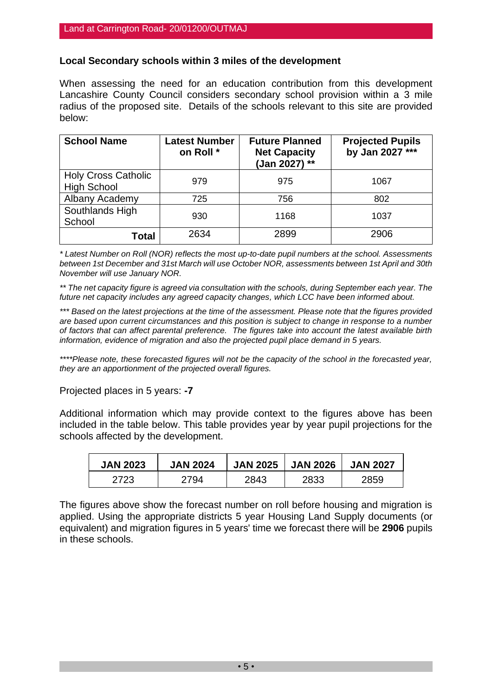#### **Local Secondary schools within 3 miles of the development**

When assessing the need for an education contribution from this development Lancashire County Council considers secondary school provision within a 3 mile radius of the proposed site. Details of the schools relevant to this site are provided below:

| <b>School Name</b>                               | <b>Latest Number</b><br>on Roll * | <b>Future Planned</b><br><b>Net Capacity</b><br>(Jan 2027) ** | <b>Projected Pupils</b><br>by Jan 2027 *** |
|--------------------------------------------------|-----------------------------------|---------------------------------------------------------------|--------------------------------------------|
| <b>Holy Cross Catholic</b><br><b>High School</b> | 979                               | 975                                                           | 1067                                       |
| Albany Academy                                   | 725                               | 756                                                           | 802                                        |
| Southlands High<br>School                        | 930                               | 1168                                                          | 1037                                       |
| <b>Total</b>                                     | 2634                              | 2899                                                          | 2906                                       |

*\* Latest Number on Roll (NOR) reflects the most up-to-date pupil numbers at the school. Assessments between 1st December and 31st March will use October NOR, assessments between 1st April and 30th November will use January NOR.*

*\*\* The net capacity figure is agreed via consultation with the schools, during September each year. The future net capacity includes any agreed capacity changes, which LCC have been informed about.*

*\*\*\* Based on the latest projections at the time of the assessment. Please note that the figures provided are based upon current circumstances and this position is subject to change in response to a number of factors that can affect parental preference. The figures take into account the latest available birth information, evidence of migration and also the projected pupil place demand in 5 years.*

*\*\*\*\*Please note, these forecasted figures will not be the capacity of the school in the forecasted year, they are an apportionment of the projected overall figures.*

Projected places in 5 years: **-7**

Additional information which may provide context to the figures above has been included in the table below. This table provides year by year pupil projections for the schools affected by the development.

| <b>JAN 2023</b> | <b>JAN 2024</b> | <b>JAN 2025</b> | <b>JAN 2026</b> | <b>JAN 2027</b> |
|-----------------|-----------------|-----------------|-----------------|-----------------|
| 2723            | 2794            | 2843            | 2833            | 2859            |

The figures above show the forecast number on roll before housing and migration is applied. Using the appropriate districts 5 year Housing Land Supply documents (or equivalent) and migration figures in 5 years' time we forecast there will be **2906** pupils in these schools.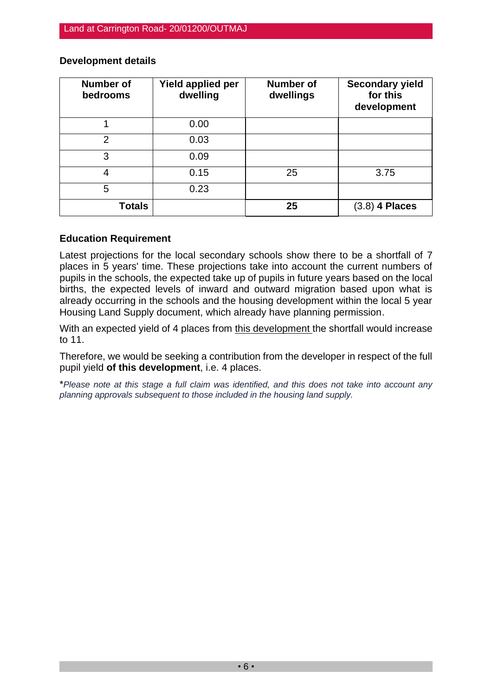| <b>Number of</b><br>bedrooms | Yield applied per<br>dwelling | <b>Number of</b><br>dwellings | <b>Secondary yield</b><br>for this<br>development |
|------------------------------|-------------------------------|-------------------------------|---------------------------------------------------|
|                              | 0.00                          |                               |                                                   |
| $\mathfrak{p}$               | 0.03                          |                               |                                                   |
| 3                            | 0.09                          |                               |                                                   |
| 4                            | 0.15                          | 25                            | 3.75                                              |
| 5                            | 0.23                          |                               |                                                   |
| <b>Totals</b>                |                               | 25                            | 4 Places<br>(3.8)                                 |

#### **Development details**

#### **Education Requirement**

Latest projections for the local secondary schools show there to be a shortfall of 7 places in 5 years' time. These projections take into account the current numbers of pupils in the schools, the expected take up of pupils in future years based on the local births, the expected levels of inward and outward migration based upon what is already occurring in the schools and the housing development within the local 5 year Housing Land Supply document, which already have planning permission.

With an expected yield of 4 places from this development the shortfall would increase to 11.

Therefore, we would be seeking a contribution from the developer in respect of the full pupil yield **of this development**, i.e. 4 places.

\**Please note at this stage a full claim was identified, and this does not take into account any planning approvals subsequent to those included in the housing land supply.*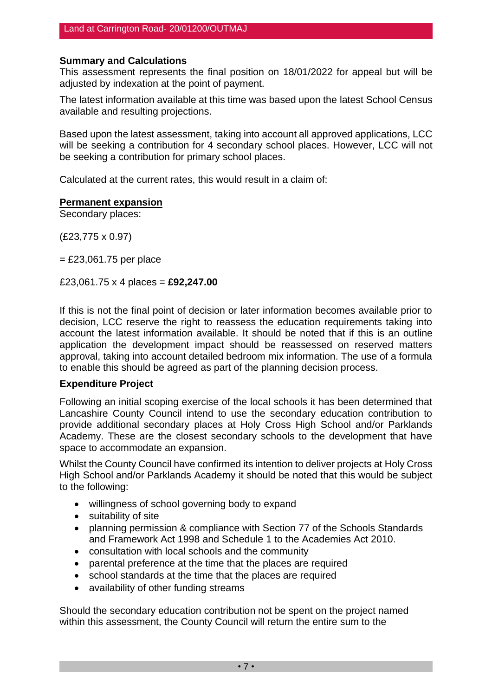#### **Summary and Calculations**

This assessment represents the final position on 18/01/2022 for appeal but will be adjusted by indexation at the point of payment.

The latest information available at this time was based upon the latest School Census available and resulting projections.

Based upon the latest assessment, taking into account all approved applications, LCC will be seeking a contribution for 4 secondary school places. However, LCC will not be seeking a contribution for primary school places.

Calculated at the current rates, this would result in a claim of:

#### **Permanent expansion**

Secondary places:

(£23,775 x 0.97)

 $=$  £23,061.75 per place

£23,061.75 x 4 places = **£92,247.00**

If this is not the final point of decision or later information becomes available prior to decision, LCC reserve the right to reassess the education requirements taking into account the latest information available. It should be noted that if this is an outline application the development impact should be reassessed on reserved matters approval, taking into account detailed bedroom mix information. The use of a formula to enable this should be agreed as part of the planning decision process.

#### **Expenditure Project**

Following an initial scoping exercise of the local schools it has been determined that Lancashire County Council intend to use the secondary education contribution to provide additional secondary places at Holy Cross High School and/or Parklands Academy. These are the closest secondary schools to the development that have space to accommodate an expansion.

Whilst the County Council have confirmed its intention to deliver projects at Holy Cross High School and/or Parklands Academy it should be noted that this would be subject to the following:

- willingness of school governing body to expand
- suitability of site
- planning permission & compliance with Section 77 of the Schools Standards and Framework Act 1998 and Schedule 1 to the Academies Act 2010.
- consultation with local schools and the community
- parental preference at the time that the places are required
- school standards at the time that the places are required
- availability of other funding streams

Should the secondary education contribution not be spent on the project named within this assessment, the County Council will return the entire sum to the